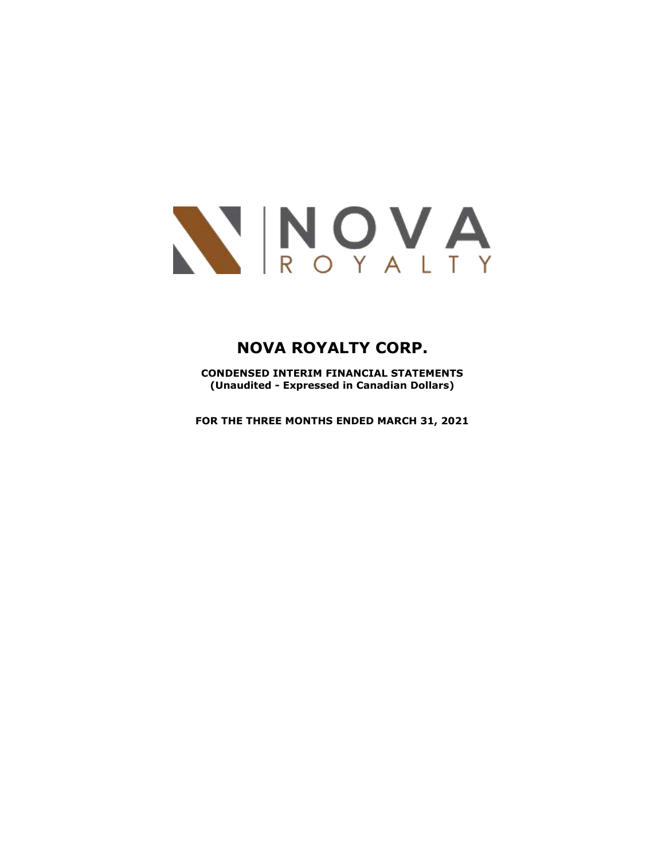

**CONDENSED INTERIM FINANCIAL STATEMENTS (Unaudited - Expressed in Canadian Dollars)**

**FOR THE THREE MONTHS ENDED MARCH 31, 2021**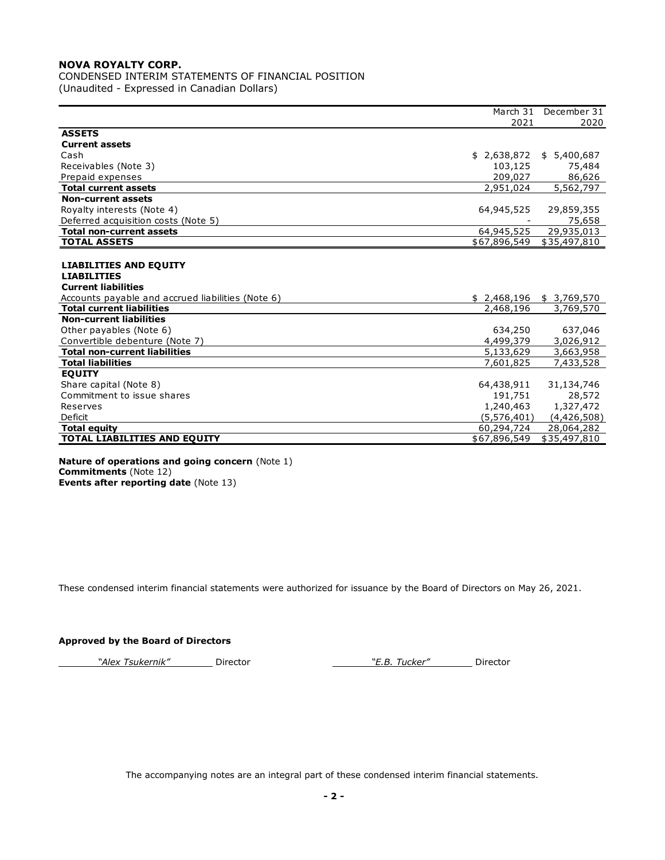CONDENSED INTERIM STATEMENTS OF FINANCIAL POSITION (Unaudited - Expressed in Canadian Dollars)

|                                                   | March 31                | December 31            |
|---------------------------------------------------|-------------------------|------------------------|
|                                                   | 2021                    | 2020                   |
| <b>ASSETS</b>                                     |                         |                        |
| <b>Current assets</b>                             |                         |                        |
| Cash                                              | \$2,638,872             | \$5,400,687            |
| Receivables (Note 3)                              | 103,125                 | 75,484                 |
| Prepaid expenses                                  | 209,027                 | 86,626                 |
| <b>Total current assets</b>                       | 2,951,024               | $\overline{5,562,797}$ |
| <b>Non-current assets</b>                         |                         |                        |
| Royalty interests (Note 4)                        | 64,945,525              | 29,859,355             |
| Deferred acquisition costs (Note 5)               |                         | 75,658                 |
| <b>Total non-current assets</b>                   | 64,945,525              | 29,935,013             |
| <b>TOTAL ASSETS</b>                               | \$67,896,549            | \$35,497,810           |
|                                                   |                         |                        |
| <b>LIABILITIES AND EQUITY</b>                     |                         |                        |
| <b>LIABILITIES</b>                                |                         |                        |
| <b>Current liabilities</b>                        |                         |                        |
| Accounts payable and accrued liabilities (Note 6) | \$2,468,196 \$3,769,570 |                        |
| <b>Total current liabilities</b>                  | 2,468,196               | 3,769,570              |
| <b>Non-current liabilities</b>                    |                         |                        |
| Other payables (Note 6)                           | 634,250                 | 637,046                |
| Convertible debenture (Note 7)                    | 4,499,379               | 3,026,912              |
| <b>Total non-current liabilities</b>              | 5,133,629               | 3,663,958              |
| <b>Total liabilities</b>                          | 7,601,825               | 7,433,528              |
| <b>EQUITY</b>                                     |                         |                        |
| Share capital (Note 8)                            | 64,438,911              | 31,134,746             |
| Commitment to issue shares                        | 191,751                 | 28,572                 |
| Reserves                                          | 1,240,463               | 1,327,472              |
| Deficit                                           | (5,576,401)             | (4,426,508)            |
| <b>Total equity</b>                               | 60,294,724              | 28,064,282             |
| <b>TOTAL LIABILITIES AND EQUITY</b>               | \$67,896,549            | \$35,497,810           |
|                                                   |                         |                        |

#### **Nature of operations and going concern** (Note 1) **Commitments** (Note 12) **Events after reporting date** (Note 13)

These condensed interim financial statements were authorized for issuance by the Board of Directors on May 26, 2021.

#### **Approved by the Board of Directors**

*"Alex Tsukernik"* Director *"E.B. Tucker"* Director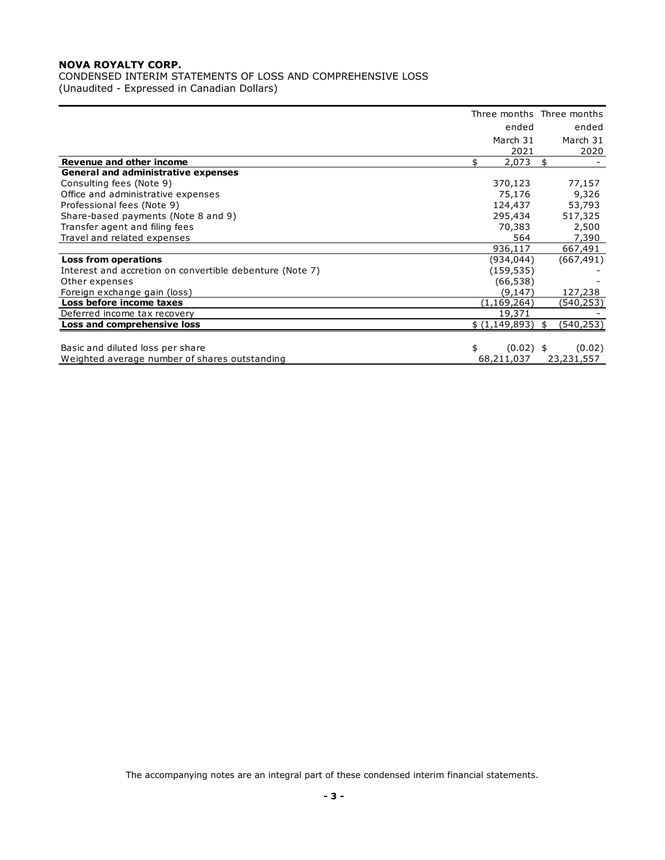CONDENSED INTERIM STATEMENTS OF LOSS AND COMPREHENSIVE LOSS (Unaudited - Expressed in Canadian Dollars)

|                                                          |     |               | Three months Three months |
|----------------------------------------------------------|-----|---------------|---------------------------|
|                                                          |     | ended         | ended                     |
|                                                          |     | March 31      | March 31                  |
| Revenue and other income                                 | \$. | 2021<br>2,073 | \$<br>2020                |
| <b>General and administrative expenses</b>               |     |               |                           |
| Consulting fees (Note 9)                                 |     | 370,123       | 77,157                    |
| Office and administrative expenses                       |     | 75,176        | 9,326                     |
| Professional fees (Note 9)                               |     | 124,437       | 53,793                    |
| Share-based payments (Note 8 and 9)                      |     | 295,434       | 517,325                   |
| Transfer agent and filing fees                           |     | 70,383        | 2,500                     |
| Travel and related expenses                              |     | 564           | 7,390                     |
|                                                          |     | 936,117       | 667,491                   |
| <b>Loss from operations</b>                              |     | (934, 044)    | (667, 491)                |
| Interest and accretion on convertible debenture (Note 7) |     | (159, 535)    |                           |
| Other expenses                                           |     | (66, 538)     |                           |
| Foreign exchange gain (loss)                             |     | (9,147)       | 127,238                   |
| Loss before income taxes                                 |     | (1,169,264)   | (540,253)                 |
| Deferred income tax recovery                             |     | 19,371        |                           |
| Loss and comprehensive loss                              |     | \$(1,149,893) | \$<br>(540, 253)          |
|                                                          |     |               |                           |
| Basic and diluted loss per share                         | \$  | $(0.02)$ \$   | (0.02)                    |
| Weighted average number of shares outstanding            |     | 68,211,037    | 23,231,557                |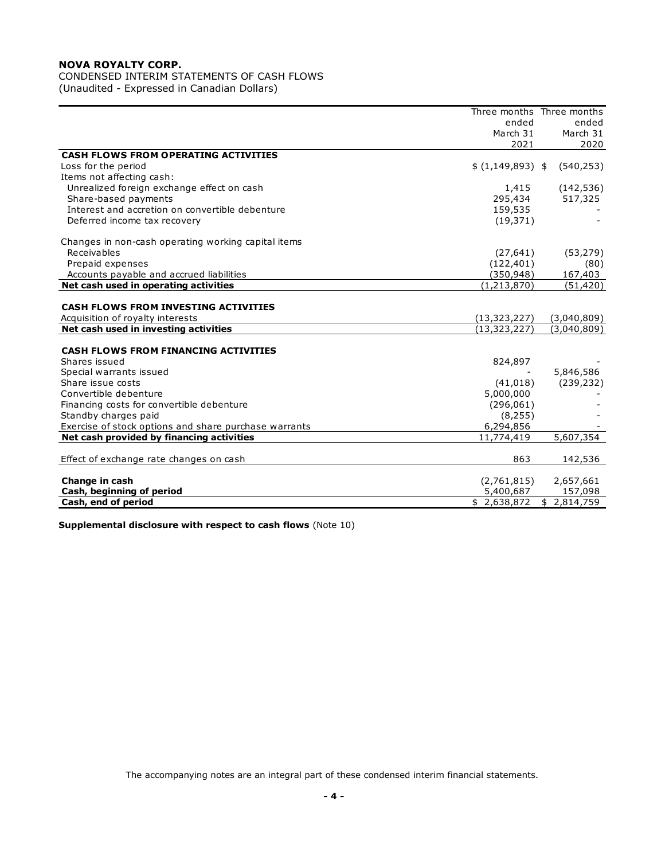## CONDENSED INTERIM STATEMENTS OF CASH FLOWS

(Unaudited - Expressed in Canadian Dollars)

|                                                       |                   | Three months Three months |
|-------------------------------------------------------|-------------------|---------------------------|
|                                                       | ended             | ended                     |
|                                                       | March 31          | March 31                  |
|                                                       | 2021              | 2020                      |
| <b>CASH FLOWS FROM OPERATING ACTIVITIES</b>           |                   |                           |
| Loss for the period                                   | $$(1,149,893)$ \$ | (540, 253)                |
| Items not affecting cash:                             |                   |                           |
| Unrealized foreign exchange effect on cash            | 1,415             | (142, 536)                |
| Share-based payments                                  | 295,434           | 517,325                   |
| Interest and accretion on convertible debenture       | 159,535           |                           |
| Deferred income tax recovery                          | (19, 371)         |                           |
|                                                       |                   |                           |
| Changes in non-cash operating working capital items   |                   |                           |
| Receivables                                           | (27, 641)         | (53, 279)                 |
| Prepaid expenses                                      | (122, 401)        | (80)                      |
| Accounts payable and accrued liabilities              | (350, 948)        | 167,403                   |
| Net cash used in operating activities                 | (1, 213, 870)     | (51, 420)                 |
|                                                       |                   |                           |
| <b>CASH FLOWS FROM INVESTING ACTIVITIES</b>           |                   |                           |
| Acquisition of royalty interests                      | (13, 323, 227)    | (3,040,809)               |
| Net cash used in investing activities                 | (13, 323, 227)    | (3,040,809)               |
|                                                       |                   |                           |
| <b>CASH FLOWS FROM FINANCING ACTIVITIES</b>           |                   |                           |
| Shares issued                                         | 824,897           |                           |
| Special warrants issued                               |                   | 5,846,586                 |
| Share issue costs                                     | (41, 018)         | (239, 232)                |
| Convertible debenture                                 | 5,000,000         |                           |
| Financing costs for convertible debenture             | (296,061)         |                           |
| Standby charges paid                                  | (8, 255)          |                           |
| Exercise of stock options and share purchase warrants | 6,294,856         |                           |
| Net cash provided by financing activities             | 11,774,419        | 5,607,354                 |
|                                                       |                   |                           |
| Effect of exchange rate changes on cash               | 863               | 142,536                   |
|                                                       |                   |                           |
| Change in cash                                        | (2,761,815)       | 2,657,661                 |
| Cash, beginning of period                             | 5,400,687         | 157,098                   |
| Cash, end of period                                   | \$2,638,872       | \$2,814,759               |
|                                                       |                   |                           |

**Supplemental disclosure with respect to cash flows** (Note 10)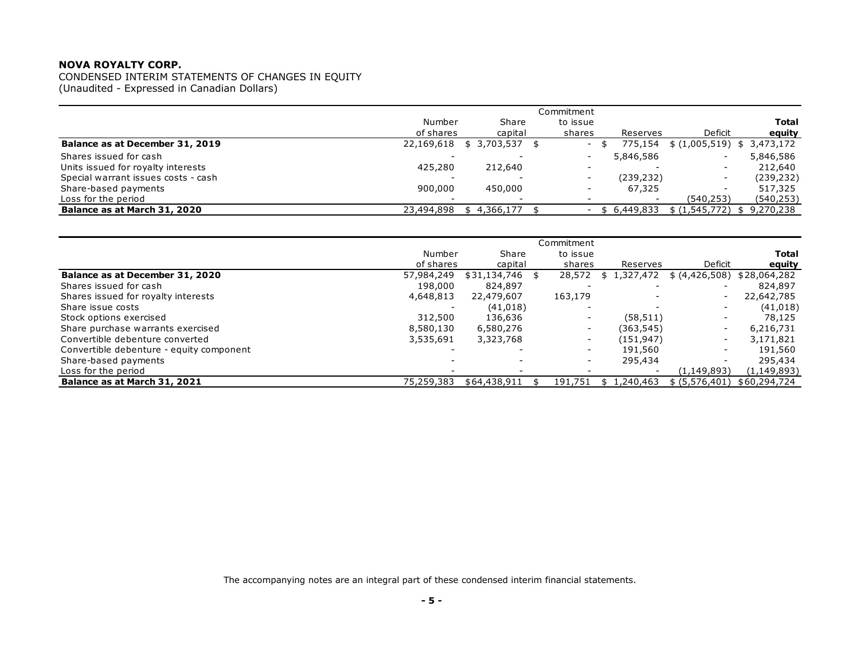| CONDENSED INTERIM STATEMENTS OF CHANGES IN EQUITY<br>(Unaudited - Expressed in Canadian Dollars) |            |             |                          |             |                   |                 |
|--------------------------------------------------------------------------------------------------|------------|-------------|--------------------------|-------------|-------------------|-----------------|
|                                                                                                  |            |             | Commitment               |             |                   |                 |
|                                                                                                  | Number     | Share       | to issue                 |             |                   | <b>Total</b>    |
|                                                                                                  | of shares  | capital     | shares                   | Reserves    | Deficit           | equity          |
| Balance as at December 31, 2019                                                                  | 22,169,618 | \$3,703,537 | $\overline{\phantom{a}}$ | 775.154     | \$(1,005,519)     | 3,473,172<br>\$ |
| Shares issued for cash                                                                           |            |             | $\overline{\phantom{a}}$ | 5,846,586   |                   | 5,846,586       |
| Units issued for royalty interests                                                               | 425,280    | 212,640     |                          |             |                   | 212,640         |
| Special warrant issues costs - cash                                                              |            |             | $\overline{\phantom{a}}$ | (239, 232)  |                   | (239, 232)      |
| Share-based payments                                                                             | 900,000    | 450,000     | $\overline{\phantom{a}}$ | 67,325      |                   | 517,325         |
| Loss for the period                                                                              |            |             |                          |             | (540,253)         | (540, 253)      |
| Balance as at March 31, 2020                                                                     | 23,494,898 | 4,366,177   |                          | \$6,449,833 | $$(1,545,772)$ \$ | 9,270,238       |
|                                                                                                  |            |             |                          |             |                   |                 |

| = 000 - 01 - 01 - 01 - 000<br>Balance as at March 31, 2020 | 23,494,898 | \$4,366,177  |                          | \$6,449,833              | ------                   | \$(1,545,772) \$9,270,238 |
|------------------------------------------------------------|------------|--------------|--------------------------|--------------------------|--------------------------|---------------------------|
|                                                            |            |              |                          |                          |                          |                           |
|                                                            |            |              | Commitment               |                          |                          |                           |
|                                                            | Number     | Share        | to issue                 |                          |                          | <b>Total</b>              |
|                                                            | of shares  | capital      | shares                   | Reserves                 | Deficit                  | equity                    |
| Balance as at December 31, 2020                            | 57,984,249 | \$31,134,746 | \$<br>28,572             | 1,327,472<br>\$          | \$ (4,426,508)           | \$28,064,282              |
| Shares issued for cash                                     | 198,000    | 824,897      |                          |                          |                          | 824,897                   |
| Shares issued for royalty interests                        | 4,648,813  | 22,479,607   | 163,179                  |                          |                          | 22,642,785                |
| Share issue costs                                          |            | (41, 018)    |                          |                          |                          | (41, 018)                 |
| Stock options exercised                                    | 312,500    | 136,636      | $\overline{\phantom{a}}$ | (58, 511)                | $\overline{\phantom{0}}$ | 78,125                    |
| Share purchase warrants exercised                          | 8,580,130  | 6,580,276    | $\overline{\phantom{a}}$ | (363,545)                | $\overline{\phantom{0}}$ | 6,216,731                 |
| Convertible debenture converted                            | 3,535,691  | 3,323,768    |                          | (151, 947)               |                          | 3,171,821                 |
| Convertible debenture - equity component                   |            |              | $\overline{\phantom{a}}$ | 191,560                  |                          | 191,560                   |
| Share-based payments                                       |            |              | $\overline{\phantom{a}}$ | 295,434                  |                          | 295,434                   |
| Loss for the period                                        |            |              |                          | $\overline{\phantom{0}}$ | (1, 149, 893)            | (1, 149, 893)             |
| Balance as at March 31, 2021                               | 75,259,383 | \$64,438,911 | 191,751                  | 1,240,463<br>\$          | \$ (5,576,401)           | \$60,294,724              |
|                                                            |            |              |                          |                          |                          |                           |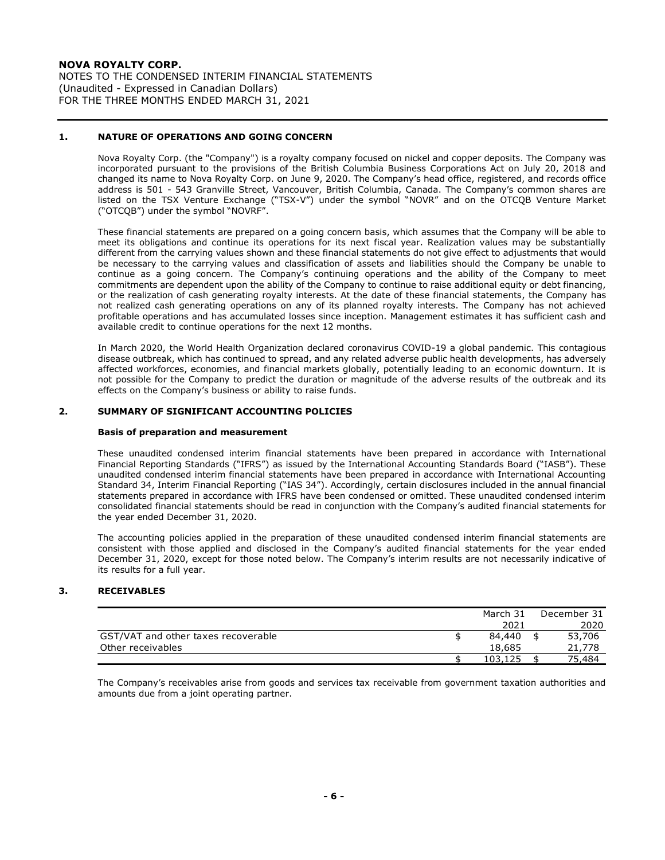NOTES TO THE CONDENSED INTERIM FINANCIAL STATEMENTS (Unaudited - Expressed in Canadian Dollars) FOR THE THREE MONTHS ENDED MARCH 31, 2021

#### **1. NATURE OF OPERATIONS AND GOING CONCERN**

Nova Royalty Corp. (the "Company") is a royalty company focused on nickel and copper deposits. The Company was incorporated pursuant to the provisions of the British Columbia Business Corporations Act on July 20, 2018 and changed its name to Nova Royalty Corp. on June 9, 2020. The Company's head office, registered, and records office address is 501 - 543 Granville Street, Vancouver, British Columbia, Canada. The Company's common shares are listed on the TSX Venture Exchange ("TSX-V") under the symbol "NOVR" and on the OTCQB Venture Market ("OTCQB") under the symbol "NOVRF".

These financial statements are prepared on a going concern basis, which assumes that the Company will be able to meet its obligations and continue its operations for its next fiscal year. Realization values may be substantially different from the carrying values shown and these financial statements do not give effect to adjustments that would be necessary to the carrying values and classification of assets and liabilities should the Company be unable to continue as a going concern. The Company's continuing operations and the ability of the Company to meet commitments are dependent upon the ability of the Company to continue to raise additional equity or debt financing, or the realization of cash generating royalty interests. At the date of these financial statements, the Company has not realized cash generating operations on any of its planned royalty interests. The Company has not achieved profitable operations and has accumulated losses since inception. Management estimates it has sufficient cash and available credit to continue operations for the next 12 months.

In March 2020, the World Health Organization declared coronavirus COVID-19 a global pandemic. This contagious disease outbreak, which has continued to spread, and any related adverse public health developments, has adversely affected workforces, economies, and financial markets globally, potentially leading to an economic downturn. It is not possible for the Company to predict the duration or magnitude of the adverse results of the outbreak and its effects on the Company's business or ability to raise funds.

#### **2. SUMMARY OF SIGNIFICANT ACCOUNTING POLICIES**

#### **Basis of preparation and measurement**

These unaudited condensed interim financial statements have been prepared in accordance with International Financial Reporting Standards ("IFRS") as issued by the International Accounting Standards Board ("IASB"). These unaudited condensed interim financial statements have been prepared in accordance with International Accounting Standard 34, Interim Financial Reporting ("IAS 34"). Accordingly, certain disclosures included in the annual financial statements prepared in accordance with IFRS have been condensed or omitted. These unaudited condensed interim consolidated financial statements should be read in conjunction with the Company's audited financial statements for the year ended December 31, 2020.

The accounting policies applied in the preparation of these unaudited condensed interim financial statements are consistent with those applied and disclosed in the Company's audited financial statements for the year ended December 31, 2020, except for those noted below. The Company's interim results are not necessarily indicative of its results for a full year.

#### **3. RECEIVABLES**

|                                     | March 31 | December 31 |
|-------------------------------------|----------|-------------|
|                                     | 2021     | 2020        |
| GST/VAT and other taxes recoverable | 84,440   | 53,706      |
| Other receivables                   | 18,685   | 21,778      |
|                                     | 103.125  | 75.484      |

The Company's receivables arise from goods and services tax receivable from government taxation authorities and amounts due from a joint operating partner.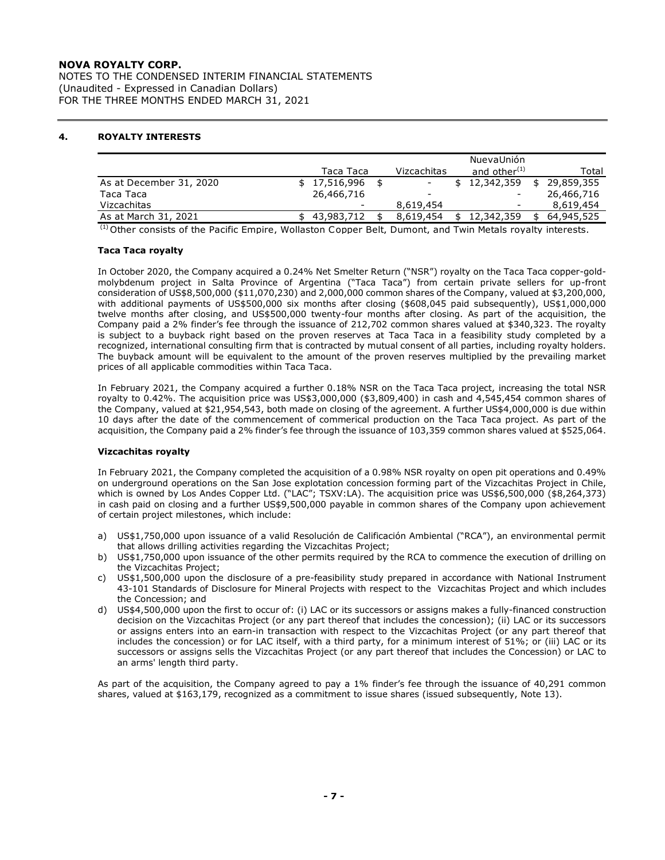NOTES TO THE CONDENSED INTERIM FINANCIAL STATEMENTS (Unaudited - Expressed in Canadian Dollars) FOR THE THREE MONTHS ENDED MARCH 31, 2021

#### **4. ROYALTY INTERESTS**

|                                                                                                                      |  |            |  |             |  | NuevaUnión      |    |            |
|----------------------------------------------------------------------------------------------------------------------|--|------------|--|-------------|--|-----------------|----|------------|
|                                                                                                                      |  | Taca Taca  |  | Vizcachitas |  | and other $(1)$ |    | Total      |
| As at December 31, 2020                                                                                              |  | 17,516,996 |  |             |  | 12,342,359      | \$ | 29,859,355 |
| Taca Taca                                                                                                            |  | 26,466,716 |  |             |  | -               |    | 26,466,716 |
| Vizcachitas                                                                                                          |  |            |  | 8,619,454   |  |                 |    | 8,619,454  |
| As at March 31, 2021                                                                                                 |  | 43,983,712 |  | 8.619.454   |  | 12,342,359      |    | 64,945,525 |
| $\frac{1}{2}$ Other consists of the Basific Empire, Wellecten Conner Belt, Dument, and Twin Metals revalty intersets |  |            |  |             |  |                 |    |            |

Other consists of the Pacific Empire, Wollaston Copper Belt, Dumont, and Twin Metals royalty interests.

#### **Taca Taca royalty**

In October 2020, the Company acquired a 0.24% Net Smelter Return ("NSR") royalty on the Taca Taca copper-goldmolybdenum project in Salta Province of Argentina ("Taca Taca") from certain private sellers for up-front consideration of US\$8,500,000 (\$11,070,230) and 2,000,000 common shares of the Company, valued at \$3,200,000, with additional payments of US\$500,000 six months after closing (\$608,045 paid subsequently), US\$1,000,000 twelve months after closing, and US\$500,000 twenty-four months after closing. As part of the acquisition, the Company paid a 2% finder's fee through the issuance of 212,702 common shares valued at \$340,323. The royalty is subject to a buyback right based on the proven reserves at Taca Taca in a feasibility study completed by a recognized, international consulting firm that is contracted by mutual consent of all parties, including royalty holders. The buyback amount will be equivalent to the amount of the proven reserves multiplied by the prevailing market prices of all applicable commodities within Taca Taca.

In February 2021, the Company acquired a further 0.18% NSR on the Taca Taca project, increasing the total NSR royalty to 0.42%. The acquisition price was US\$3,000,000 (\$3,809,400) in cash and 4,545,454 common shares of the Company, valued at \$21,954,543, both made on closing of the agreement. A further US\$4,000,000 is due within 10 days after the date of the commencement of commerical production on the Taca Taca project. As part of the acquisition, the Company paid a 2% finder's fee through the issuance of 103,359 common shares valued at \$525,064.

#### **Vizcachitas royalty**

In February 2021, the Company completed the acquisition of a 0.98% NSR royalty on open pit operations and 0.49% on underground operations on the San Jose explotation concession forming part of the Vizcachitas Project in Chile, which is owned by Los Andes Copper Ltd. ("LAC"; TSXV:LA). The acquisition price was US\$6,500,000 (\$8,264,373) in cash paid on closing and a further US\$9,500,000 payable in common shares of the Company upon achievement of certain project milestones, which include:

- a) US\$1,750,000 upon issuance of a valid Resolución de Calificación Ambiental ("RCA"), an environmental permit that allows drilling activities regarding the Vizcachitas Project;
- b) US\$1,750,000 upon issuance of the other permits required by the RCA to commence the execution of drilling on the Vizcachitas Project;
- c) US\$1,500,000 upon the disclosure of a pre-feasibility study prepared in accordance with National Instrument 43-101 Standards of Disclosure for Mineral Projects with respect to the Vizcachitas Project and which includes the Concession; and
- d) US\$4,500,000 upon the first to occur of: (i) LAC or its successors or assigns makes a fully-financed construction decision on the Vizcachitas Project (or any part thereof that includes the concession); (ii) LAC or its successors or assigns enters into an earn-in transaction with respect to the Vizcachitas Project (or any part thereof that includes the concession) or for LAC itself, with a third party, for a minimum interest of 51%; or (iii) LAC or its successors or assigns sells the Vizcachitas Project (or any part thereof that includes the Concession) or LAC to an arms' length third party.

As part of the acquisition, the Company agreed to pay a 1% finder's fee through the issuance of 40,291 common shares, valued at \$163,179, recognized as a commitment to issue shares (issued subsequently, Note 13).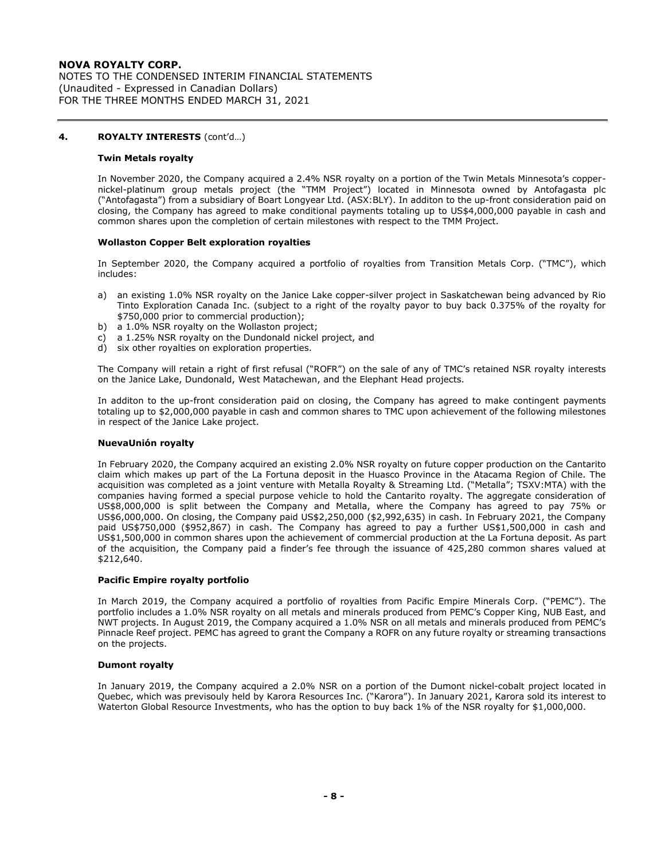NOTES TO THE CONDENSED INTERIM FINANCIAL STATEMENTS (Unaudited - Expressed in Canadian Dollars) FOR THE THREE MONTHS ENDED MARCH 31, 2021

#### **4. ROYALTY INTERESTS** (cont'd…)

#### **Twin Metals royalty**

In November 2020, the Company acquired a 2.4% NSR royalty on a portion of the Twin Metals Minnesota's coppernickel-platinum group metals project (the "TMM Project") located in Minnesota owned by Antofagasta plc ("Antofagasta") from a subsidiary of Boart Longyear Ltd. (ASX:BLY). In additon to the up-front consideration paid on closing, the Company has agreed to make conditional payments totaling up to US\$4,000,000 payable in cash and common shares upon the completion of certain milestones with respect to the TMM Project.

#### **Wollaston Copper Belt exploration royalties**

In September 2020, the Company acquired a portfolio of royalties from Transition Metals Corp. ("TMC"), which includes:

- a) an existing 1.0% NSR royalty on the Janice Lake copper-silver project in Saskatchewan being advanced by Rio Tinto Exploration Canada Inc. (subject to a right of the royalty payor to buy back 0.375% of the royalty for \$750,000 prior to commercial production);
- b) a 1.0% NSR royalty on the Wollaston project;
- c) a 1.25% NSR royalty on the Dundonald nickel project, and
- d) six other royalties on exploration properties.

The Company will retain a right of first refusal ("ROFR") on the sale of any of TMC's retained NSR royalty interests on the Janice Lake, Dundonald, West Matachewan, and the Elephant Head projects.

In additon to the up-front consideration paid on closing, the Company has agreed to make contingent payments totaling up to \$2,000,000 payable in cash and common shares to TMC upon achievement of the following milestones in respect of the Janice Lake project.

#### **NuevaUnión royalty**

In February 2020, the Company acquired an existing 2.0% NSR royalty on future copper production on the Cantarito claim which makes up part of the La Fortuna deposit in the Huasco Province in the Atacama Region of Chile. The acquisition was completed as a joint venture with Metalla Royalty & Streaming Ltd. ("Metalla"; TSXV:MTA) with the companies having formed a special purpose vehicle to hold the Cantarito royalty. The aggregate consideration of US\$8,000,000 is split between the Company and Metalla, where the Company has agreed to pay 75% or US\$6,000,000. On closing, the Company paid US\$2,250,000 (\$2,992,635) in cash. In February 2021, the Company paid US\$750,000 (\$952,867) in cash. The Company has agreed to pay a further US\$1,500,000 in cash and US\$1,500,000 in common shares upon the achievement of commercial production at the La Fortuna deposit. As part of the acquisition, the Company paid a finder's fee through the issuance of 425,280 common shares valued at \$212,640.

#### **Pacific Empire royalty portfolio**

In March 2019, the Company acquired a portfolio of royalties from Pacific Empire Minerals Corp. ("PEMC"). The portfolio includes a 1.0% NSR royalty on all metals and minerals produced from PEMC's Copper King, NUB East, and NWT projects. In August 2019, the Company acquired a 1.0% NSR on all metals and minerals produced from PEMC's Pinnacle Reef project. PEMC has agreed to grant the Company a ROFR on any future royalty or streaming transactions on the projects.

#### **Dumont royalty**

In January 2019, the Company acquired a 2.0% NSR on a portion of the Dumont nickel-cobalt project located in Quebec, which was previsouly held by Karora Resources Inc. ("Karora"). In January 2021, Karora sold its interest to Waterton Global Resource Investments, who has the option to buy back 1% of the NSR royalty for \$1,000,000.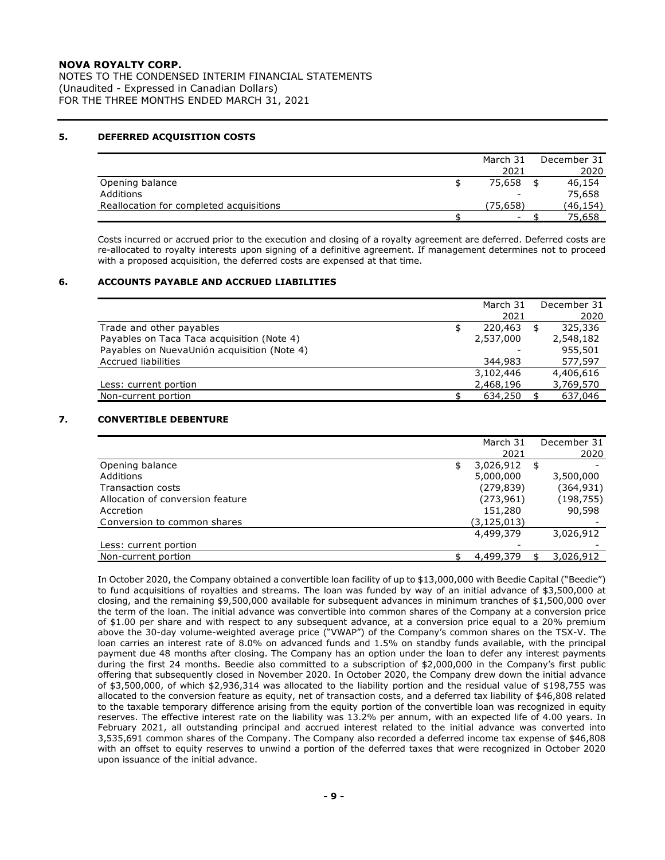NOTES TO THE CONDENSED INTERIM FINANCIAL STATEMENTS (Unaudited - Expressed in Canadian Dollars) FOR THE THREE MONTHS ENDED MARCH 31, 2021

#### **5. DEFERRED ACQUISITION COSTS**

|                                         | March 31 | December 31 |
|-----------------------------------------|----------|-------------|
|                                         | 2021     | 2020        |
| Opening balance                         | 75,658   | 46,154      |
| Additions                               | -        | 75,658      |
| Reallocation for completed acquisitions | (75.658) | (46,154)    |
|                                         | ۰.       | 75,658      |

Costs incurred or accrued prior to the execution and closing of a royalty agreement are deferred. Deferred costs are re-allocated to royalty interests upon signing of a definitive agreement. If management determines not to proceed with a proposed acquisition, the deferred costs are expensed at that time.

#### **6. ACCOUNTS PAYABLE AND ACCRUED LIABILITIES**

|                                             | March 31  | December 31   |
|---------------------------------------------|-----------|---------------|
|                                             | 2021      | 2020          |
| Trade and other payables                    | 220,463   | \$<br>325,336 |
| Payables on Taca Taca acquisition (Note 4)  | 2,537,000 | 2,548,182     |
| Payables on NuevaUnión acquisition (Note 4) |           | 955,501       |
| <b>Accrued liabilities</b>                  | 344,983   | 577,597       |
|                                             | 3,102,446 | 4,406,616     |
| Less: current portion                       | 2,468,196 | 3,769,570     |
| Non-current portion                         | 634,250   | 637,046       |

#### **7. CONVERTIBLE DEBENTURE**

|                                  |    | December 31   |           |
|----------------------------------|----|---------------|-----------|
|                                  |    | 2021          | 2020      |
| Opening balance                  | \$ | 3,026,912     | \$        |
| Additions                        |    | 5,000,000     | 3,500,000 |
| Transaction costs                |    | (279, 839)    | (364,931) |
| Allocation of conversion feature |    | (273, 961)    | (198,755) |
| Accretion                        |    | 151,280       | 90,598    |
| Conversion to common shares      |    | (3, 125, 013) |           |
|                                  |    | 4,499,379     | 3,026,912 |
| Less: current portion            |    |               |           |
| Non-current portion              |    | 4,499,379     | 3,026,912 |

In October 2020, the Company obtained a convertible loan facility of up to \$13,000,000 with Beedie Capital ("Beedie") to fund acquisitions of royalties and streams. The loan was funded by way of an initial advance of \$3,500,000 at closing, and the remaining \$9,500,000 available for subsequent advances in minimum tranches of \$1,500,000 over the term of the loan. The initial advance was convertible into common shares of the Company at a conversion price of \$1.00 per share and with respect to any subsequent advance, at a conversion price equal to a 20% premium above the 30-day volume-weighted average price ("VWAP") of the Company's common shares on the TSX-V. The loan carries an interest rate of 8.0% on advanced funds and 1.5% on standby funds available, with the principal payment due 48 months after closing. The Company has an option under the loan to defer any interest payments during the first 24 months. Beedie also committed to a subscription of \$2,000,000 in the Company's first public offering that subsequently closed in November 2020. In October 2020, the Company drew down the initial advance of \$3,500,000, of which \$2,936,314 was allocated to the liability portion and the residual value of \$198,755 was allocated to the conversion feature as equity, net of transaction costs, and a deferred tax liability of \$46,808 related to the taxable temporary difference arising from the equity portion of the convertible loan was recognized in equity reserves. The effective interest rate on the liability was 13.2% per annum, with an expected life of 4.00 years. In February 2021, all outstanding principal and accrued interest related to the initial advance was converted into 3,535,691 common shares of the Company. The Company also recorded a deferred income tax expense of \$46,808 with an offset to equity reserves to unwind a portion of the deferred taxes that were recognized in October 2020 upon issuance of the initial advance.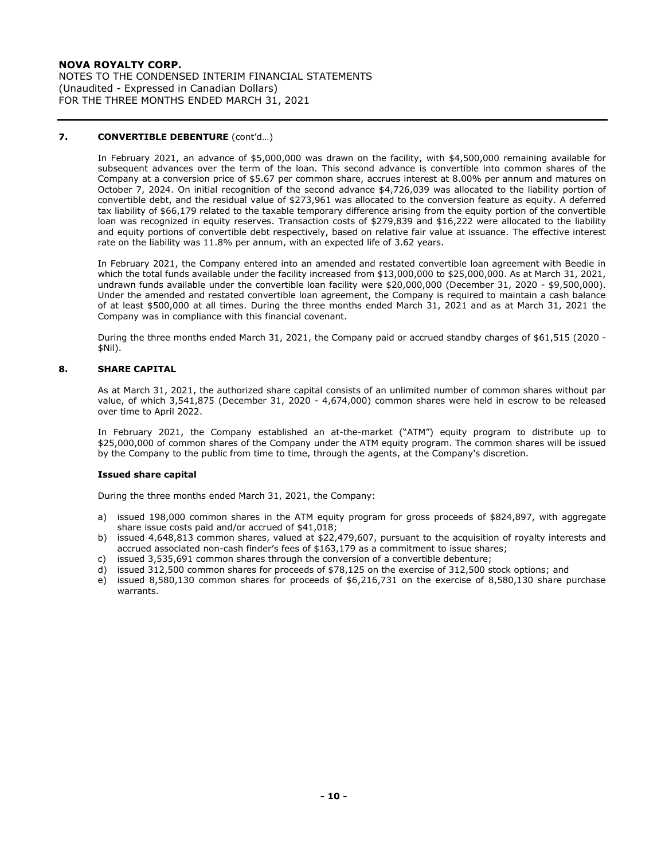NOTES TO THE CONDENSED INTERIM FINANCIAL STATEMENTS (Unaudited - Expressed in Canadian Dollars) FOR THE THREE MONTHS ENDED MARCH 31, 2021

#### **7. CONVERTIBLE DEBENTURE** (cont'd…)

In February 2021, an advance of \$5,000,000 was drawn on the facility, with \$4,500,000 remaining available for subsequent advances over the term of the loan. This second advance is convertible into common shares of the Company at a conversion price of \$5.67 per common share, accrues interest at 8.00% per annum and matures on October 7, 2024. On initial recognition of the second advance \$4,726,039 was allocated to the liability portion of convertible debt, and the residual value of \$273,961 was allocated to the conversion feature as equity. A deferred tax liability of \$66,179 related to the taxable temporary difference arising from the equity portion of the convertible loan was recognized in equity reserves. Transaction costs of \$279,839 and \$16,222 were allocated to the liability and equity portions of convertible debt respectively, based on relative fair value at issuance. The effective interest rate on the liability was 11.8% per annum, with an expected life of 3.62 years.

In February 2021, the Company entered into an amended and restated convertible loan agreement with Beedie in which the total funds available under the facility increased from \$13,000,000 to \$25,000,000. As at March 31, 2021, undrawn funds available under the convertible loan facility were \$20,000,000 (December 31, 2020 - \$9,500,000). Under the amended and restated convertible loan agreement, the Company is required to maintain a cash balance of at least \$500,000 at all times. During the three months ended March 31, 2021 and as at March 31, 2021 the Company was in compliance with this financial covenant.

During the three months ended March 31, 2021, the Company paid or accrued standby charges of \$61,515 (2020 - \$Nil).

#### **8. SHARE CAPITAL**

As at March 31, 2021, the authorized share capital consists of an unlimited number of common shares without par value, of which 3,541,875 (December 31, 2020 - 4,674,000) common shares were held in escrow to be released over time to April 2022.

In February 2021, the Company established an at-the-market ("ATM") equity program to distribute up to \$25,000,000 of common shares of the Company under the ATM equity program. The common shares will be issued by the Company to the public from time to time, through the agents, at the Company's discretion.

#### **Issued share capital**

During the three months ended March 31, 2021, the Company:

- a) issued 198,000 common shares in the ATM equity program for gross proceeds of \$824,897, with aggregate share issue costs paid and/or accrued of \$41,018;
- b) issued 4,648,813 common shares, valued at \$22,479,607, pursuant to the acquisition of royalty interests and accrued associated non-cash finder's fees of \$163,179 as a commitment to issue shares;
- c) issued 3,535,691 common shares through the conversion of a convertible debenture;
- d) issued 312,500 common shares for proceeds of \$78,125 on the exercise of 312,500 stock options; and
- e) issued 8,580,130 common shares for proceeds of \$6,216,731 on the exercise of 8,580,130 share purchase warrants.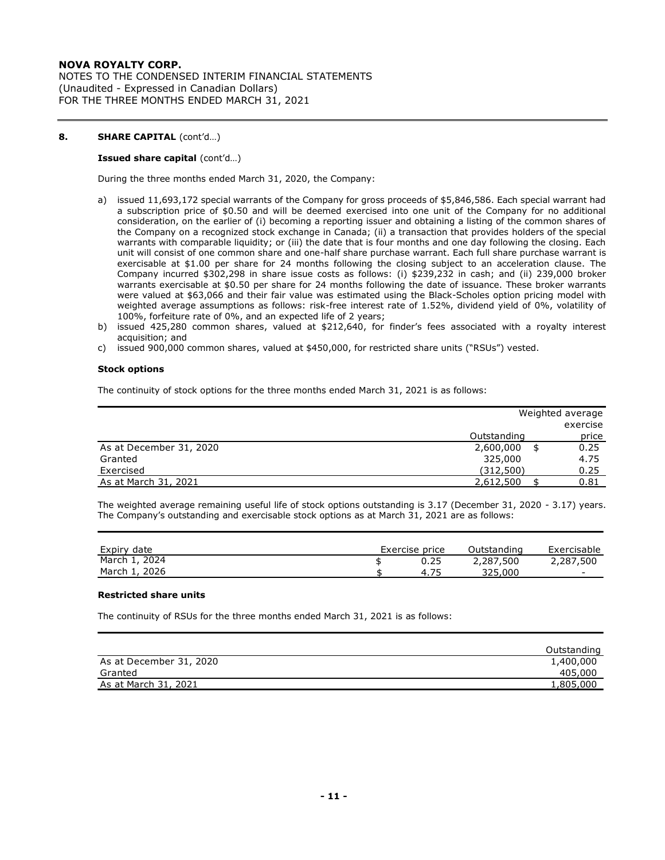NOTES TO THE CONDENSED INTERIM FINANCIAL STATEMENTS (Unaudited - Expressed in Canadian Dollars) FOR THE THREE MONTHS ENDED MARCH 31, 2021

#### **8. SHARE CAPITAL** (cont'd…)

#### **Issued share capital** (cont'd…)

During the three months ended March 31, 2020, the Company:

- a) issued 11,693,172 special warrants of the Company for gross proceeds of \$5,846,586. Each special warrant had a subscription price of \$0.50 and will be deemed exercised into one unit of the Company for no additional consideration, on the earlier of (i) becoming a reporting issuer and obtaining a listing of the common shares of the Company on a recognized stock exchange in Canada; (ii) a transaction that provides holders of the special warrants with comparable liquidity; or (iii) the date that is four months and one day following the closing. Each unit will consist of one common share and one-half share purchase warrant. Each full share purchase warrant is exercisable at \$1.00 per share for 24 months following the closing subject to an acceleration clause. The Company incurred \$302,298 in share issue costs as follows: (i) \$239,232 in cash; and (ii) 239,000 broker warrants exercisable at \$0.50 per share for 24 months following the date of issuance. These broker warrants were valued at \$63,066 and their fair value was estimated using the Black-Scholes option pricing model with weighted average assumptions as follows: risk-free interest rate of 1.52%, dividend yield of 0%, volatility of 100%, forfeiture rate of 0%, and an expected life of 2 years;
- b) issued 425,280 common shares, valued at \$212,640, for finder's fees associated with a royalty interest acquisition; and
- c) issued 900,000 common shares, valued at \$450,000, for restricted share units ("RSUs") vested.

#### **Stock options**

The continuity of stock options for the three months ended March 31, 2021 is as follows:

|                         |             | Weighted average |
|-------------------------|-------------|------------------|
|                         |             | exercise         |
|                         | Outstanding | price            |
| As at December 31, 2020 | 2,600,000   | 0.25             |
| Granted                 | 325,000     | 4.75             |
| Exercised               | (312,500)   | 0.25             |
| As at March 31, 2021    | 2,612,500   | 0.81             |

The weighted average remaining useful life of stock options outstanding is 3.17 (December 31, 2020 - 3.17) years. The Company's outstanding and exercisable stock options as at March 31, 2021 are as follows:

| Expiry date   | Exercise price | Outstanding | Exercisable |
|---------------|----------------|-------------|-------------|
| March 1, 2024 |                | 2,287,500   | 2,287,500   |
| March 1, 2026 | 4.75           | 325,000     |             |

#### **Restricted share units**

The continuity of RSUs for the three months ended March 31, 2021 is as follows:

|                         | Outstanding |
|-------------------------|-------------|
| As at December 31, 2020 | 1,400,000   |
| Granted                 | 405,000     |
| As at March 31, 2021    | 1.805.000   |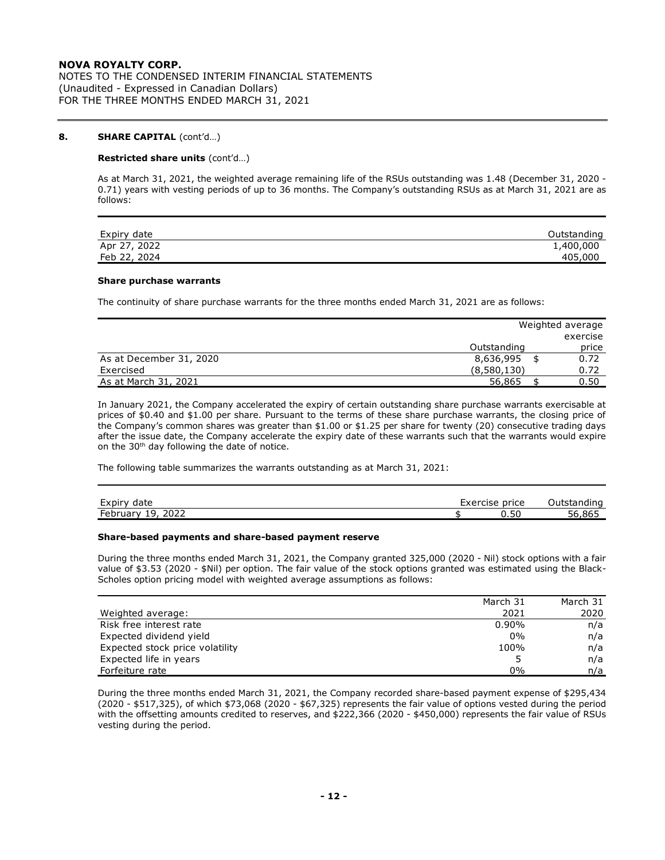NOTES TO THE CONDENSED INTERIM FINANCIAL STATEMENTS (Unaudited - Expressed in Canadian Dollars) FOR THE THREE MONTHS ENDED MARCH 31, 2021

#### **8. SHARE CAPITAL** (cont'd…)

#### **Restricted share units** (cont'd…)

As at March 31, 2021, the weighted average remaining life of the RSUs outstanding was 1.48 (December 31, 2020 - 0.71) years with vesting periods of up to 36 months. The Company's outstanding RSUs as at March 31, 2021 are as follows:

| Expiry date  | <b>Outstanding</b> |
|--------------|--------------------|
| Apr 27, 2022 | 1,400,000          |
| Feb 22, 2024 | 405,000            |

#### **Share purchase warrants**

The continuity of share purchase warrants for the three months ended March 31, 2021 are as follows:

|                         |             | Weighted average |
|-------------------------|-------------|------------------|
|                         |             | exercise         |
|                         | Outstanding | price            |
| As at December 31, 2020 | 8,636,995   | 0.72             |
| Exercised               | (8,580,130) | 0.72             |
| As at March 31, 2021    | 56,865      | 0.50             |

In January 2021, the Company accelerated the expiry of certain outstanding share purchase warrants exercisable at prices of \$0.40 and \$1.00 per share. Pursuant to the terms of these share purchase warrants, the closing price of the Company's common shares was greater than \$1.00 or \$1.25 per share for twenty (20) consecutive trading days after the issue date, the Company accelerate the expiry date of these warrants such that the warrants would expire on the 30<sup>th</sup> day following the date of notice.

The following table summarizes the warrants outstanding as at March 31, 2021:

| $\sim$ $\sim$<br>date<br>Expiry                                                | $\sim$<br>Exercise | price | Jutstar<br>.<br>istanding           |
|--------------------------------------------------------------------------------|--------------------|-------|-------------------------------------|
| 2022<br>$\overline{\phantom{0}}$<br>۰q<br><b>Februar</b><br>$\mathbf{v}$<br>-- |                    | u.ou  | $\sim$ $\sim$ $\sim$<br>,,865<br>סכ |

#### **Share-based payments and share-based payment reserve**

During the three months ended March 31, 2021, the Company granted 325,000 (2020 - Nil) stock options with a fair value of \$3.53 (2020 - \$Nil) per option. The fair value of the stock options granted was estimated using the Black-Scholes option pricing model with weighted average assumptions as follows:

|                                 | March 31 | March 31 |
|---------------------------------|----------|----------|
| Weighted average:               | 2021     | 2020     |
| Risk free interest rate         | $0.90\%$ | n/a      |
| Expected dividend yield         | 0%       | n/a      |
| Expected stock price volatility | 100%     | n/a      |
| Expected life in years          |          | n/a      |
| Forfeiture rate                 | 0%       | n/a      |

During the three months ended March 31, 2021, the Company recorded share-based payment expense of \$295,434 (2020 - \$517,325), of which \$73,068 (2020 - \$67,325) represents the fair value of options vested during the period with the offsetting amounts credited to reserves, and \$222,366 (2020 - \$450,000) represents the fair value of RSUs vesting during the period.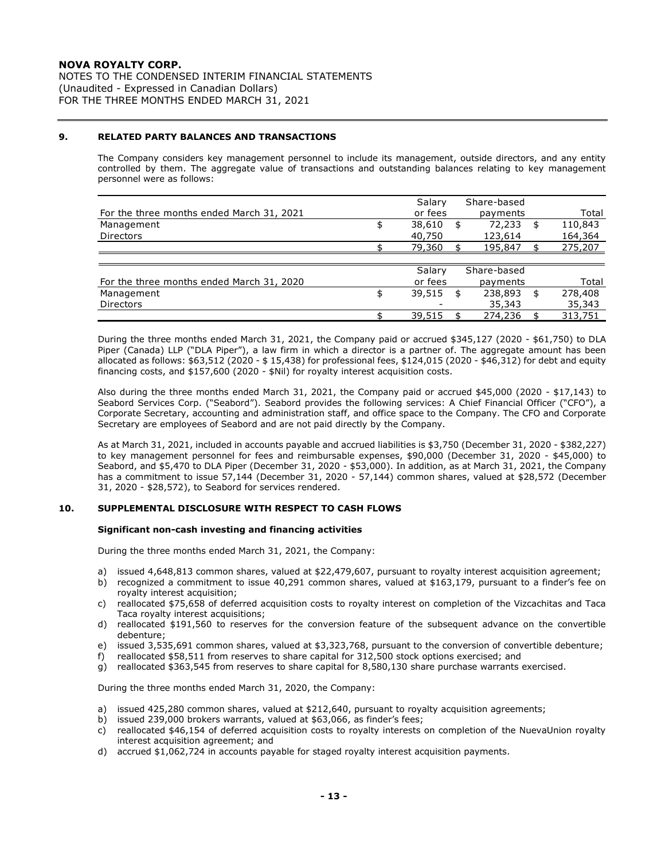NOTES TO THE CONDENSED INTERIM FINANCIAL STATEMENTS (Unaudited - Expressed in Canadian Dollars) FOR THE THREE MONTHS ENDED MARCH 31, 2021

#### **9. RELATED PARTY BALANCES AND TRANSACTIONS**

The Company considers key management personnel to include its management, outside directors, and any entity controlled by them. The aggregate value of transactions and outstanding balances relating to key management personnel were as follows:

|                                           | Salary       | Share-based   |               |
|-------------------------------------------|--------------|---------------|---------------|
| For the three months ended March 31, 2021 | or fees      | payments      | Total         |
| Management                                | 38,610       | \$<br>72,233  | \$<br>110,843 |
| <b>Directors</b>                          | 40,750       | 123,614       | 164,364       |
|                                           | 79,360       | 195,847       | 275,207       |
|                                           |              |               |               |
|                                           | Salary       | Share-based   |               |
| For the three months ended March 31, 2020 | or fees      | payments      | Total         |
| Management                                | \$<br>39,515 | \$<br>238,893 | \$<br>278,408 |
| <b>Directors</b>                          |              | 35,343        | 35,343        |
|                                           | 39,515       | 274,236       | 313,751       |

During the three months ended March 31, 2021, the Company paid or accrued \$345,127 (2020 - \$61,750) to DLA Piper (Canada) LLP ("DLA Piper"), a law firm in which a director is a partner of. The aggregate amount has been allocated as follows: \$63,512 (2020 - \$ 15,438) for professional fees, \$124,015 (2020 - \$46,312) for debt and equity financing costs, and \$157,600 (2020 - \$Nil) for royalty interest acquisition costs.

Also during the three months ended March 31, 2021, the Company paid or accrued \$45,000 (2020 - \$17,143) to Seabord Services Corp. ("Seabord"). Seabord provides the following services: A Chief Financial Officer ("CFO"), a Corporate Secretary, accounting and administration staff, and office space to the Company. The CFO and Corporate Secretary are employees of Seabord and are not paid directly by the Company.

As at March 31, 2021, included in accounts payable and accrued liabilities is \$3,750 (December 31, 2020 - \$382,227) to key management personnel for fees and reimbursable expenses, \$90,000 (December 31, 2020 - \$45,000) to Seabord, and \$5,470 to DLA Piper (December 31, 2020 - \$53,000). In addition, as at March 31, 2021, the Company has a commitment to issue 57,144 (December 31, 2020 - 57,144) common shares, valued at \$28,572 (December 31, 2020 - \$28,572), to Seabord for services rendered.

#### **10. SUPPLEMENTAL DISCLOSURE WITH RESPECT TO CASH FLOWS**

#### **Significant non-cash investing and financing activities**

During the three months ended March 31, 2021, the Company:

- a) issued 4,648,813 common shares, valued at \$22,479,607, pursuant to royalty interest acquisition agreement;
- b) recognized a commitment to issue 40,291 common shares, valued at \$163,179, pursuant to a finder's fee on royalty interest acquisition;
- c) reallocated \$75,658 of deferred acquisition costs to royalty interest on completion of the Vizcachitas and Taca Taca royalty interest acquisitions;
- d) reallocated \$191,560 to reserves for the conversion feature of the subsequent advance on the convertible debenture;
- e) issued 3,535,691 common shares, valued at \$3,323,768, pursuant to the conversion of convertible debenture;
- f) reallocated \$58,511 from reserves to share capital for 312,500 stock options exercised; and
- g) reallocated \$363,545 from reserves to share capital for 8,580,130 share purchase warrants exercised.

During the three months ended March 31, 2020, the Company:

- a) issued 425,280 common shares, valued at \$212,640, pursuant to royalty acquisition agreements;
- b) issued 239,000 brokers warrants, valued at \$63,066, as finder's fees;
- c) reallocated \$46,154 of deferred acquisition costs to royalty interests on completion of the NuevaUnion royalty interest acquisition agreement; and
- d) accrued \$1,062,724 in accounts payable for staged royalty interest acquisition payments.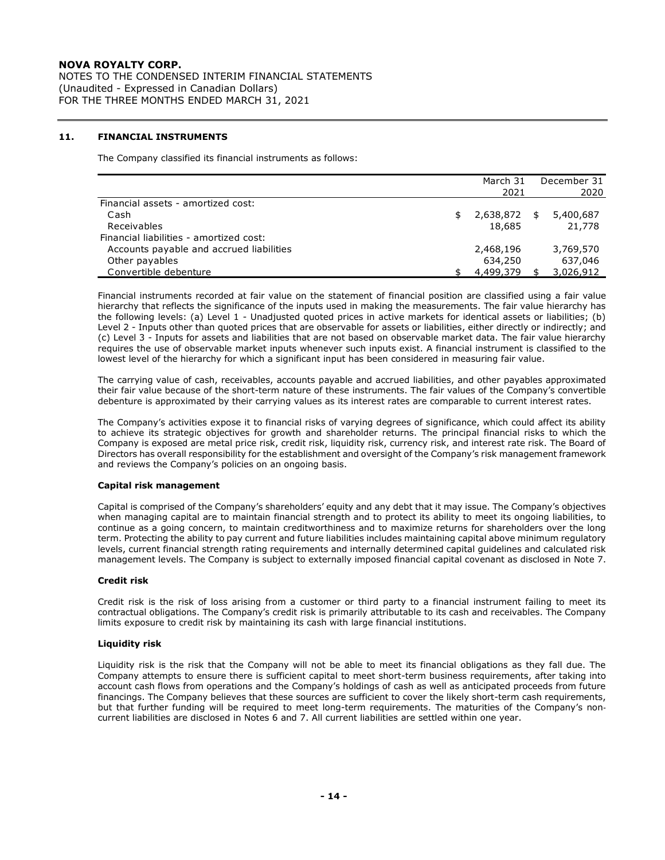NOTES TO THE CONDENSED INTERIM FINANCIAL STATEMENTS (Unaudited - Expressed in Canadian Dollars) FOR THE THREE MONTHS ENDED MARCH 31, 2021

#### **11. FINANCIAL INSTRUMENTS**

The Company classified its financial instruments as follows:

|                                          | March 31  | December 31     |
|------------------------------------------|-----------|-----------------|
|                                          | 2021      | 2020            |
| Financial assets - amortized cost:       |           |                 |
| Cash                                     | 2,638,872 | \$<br>5,400,687 |
| Receivables                              | 18,685    | 21,778          |
| Financial liabilities - amortized cost:  |           |                 |
| Accounts payable and accrued liabilities | 2,468,196 | 3,769,570       |
| Other payables                           | 634,250   | 637,046         |
| Convertible debenture                    | 4,499,379 | 3,026,912       |

Financial instruments recorded at fair value on the statement of financial position are classified using a fair value hierarchy that reflects the significance of the inputs used in making the measurements. The fair value hierarchy has the following levels: (a) Level 1 - Unadjusted quoted prices in active markets for identical assets or liabilities; (b) Level 2 - Inputs other than quoted prices that are observable for assets or liabilities, either directly or indirectly; and (c) Level 3 - Inputs for assets and liabilities that are not based on observable market data. The fair value hierarchy requires the use of observable market inputs whenever such inputs exist. A financial instrument is classified to the lowest level of the hierarchy for which a significant input has been considered in measuring fair value.

The carrying value of cash, receivables, accounts payable and accrued liabilities, and other payables approximated their fair value because of the short-term nature of these instruments. The fair values of the Company's convertible debenture is approximated by their carrying values as its interest rates are comparable to current interest rates.

The Company's activities expose it to financial risks of varying degrees of significance, which could affect its ability to achieve its strategic objectives for growth and shareholder returns. The principal financial risks to which the Company is exposed are metal price risk, credit risk, liquidity risk, currency risk, and interest rate risk. The Board of Directors has overall responsibility for the establishment and oversight of the Company's risk management framework and reviews the Company's policies on an ongoing basis.

#### **Capital risk management**

Capital is comprised of the Company's shareholders' equity and any debt that it may issue. The Company's objectives when managing capital are to maintain financial strength and to protect its ability to meet its ongoing liabilities, to continue as a going concern, to maintain creditworthiness and to maximize returns for shareholders over the long term. Protecting the ability to pay current and future liabilities includes maintaining capital above minimum regulatory levels, current financial strength rating requirements and internally determined capital guidelines and calculated risk management levels. The Company is subject to externally imposed financial capital covenant as disclosed in Note 7.

#### **Credit risk**

Credit risk is the risk of loss arising from a customer or third party to a financial instrument failing to meet its contractual obligations. The Company's credit risk is primarily attributable to its cash and receivables. The Company limits exposure to credit risk by maintaining its cash with large financial institutions.

#### **Liquidity risk**

Liquidity risk is the risk that the Company will not be able to meet its financial obligations as they fall due. The Company attempts to ensure there is sufficient capital to meet short-term business requirements, after taking into account cash flows from operations and the Company's holdings of cash as well as anticipated proceeds from future financings. The Company believes that these sources are sufficient to cover the likely short-term cash requirements, but that further funding will be required to meet long-term requirements. The maturities of the Company's non‐ current liabilities are disclosed in Notes 6 and 7. All current liabilities are settled within one year.